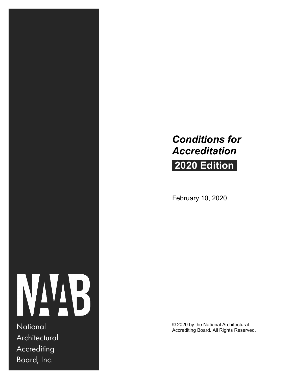# *Conditions for Accreditation*

# **2020 Edition**

February 10, 2020



**Architectural Accrediting** Board, Inc.

© 2020 by the National Architectural National Accrediting Board. All Rights Reserved.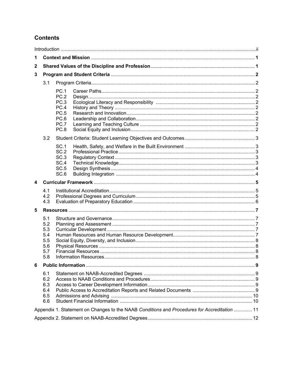# **Contents**

| 1            |                                                      |                                                                                              |  |
|--------------|------------------------------------------------------|----------------------------------------------------------------------------------------------|--|
| $\mathbf{2}$ |                                                      |                                                                                              |  |
| 3            |                                                      |                                                                                              |  |
|              | 3.1                                                  |                                                                                              |  |
|              |                                                      | <b>PC.1</b><br>PC.2<br>PC.3<br>PC.4<br><b>PC.5</b><br>PC.6<br>PC.7<br>PC.8                   |  |
|              | 3.2                                                  |                                                                                              |  |
|              |                                                      | SC.1<br>SC.2<br>SC.3<br>SC.4<br>SC <sub>.5</sub><br>SC.6                                     |  |
| 4            |                                                      |                                                                                              |  |
|              | 4.1<br>4.2<br>4.3                                    |                                                                                              |  |
| 5            |                                                      |                                                                                              |  |
|              | 5.1<br>5.2<br>5.3<br>5.4<br>5.5<br>5.6<br>5.7<br>5.8 |                                                                                              |  |
| 6            |                                                      |                                                                                              |  |
|              | 6.1<br>6.2<br>6.3<br>6.4<br>6.5<br>6.6               |                                                                                              |  |
|              |                                                      | Appendix 1. Statement on Changes to the NAAB Conditions and Procedures for Accreditation  11 |  |
|              |                                                      |                                                                                              |  |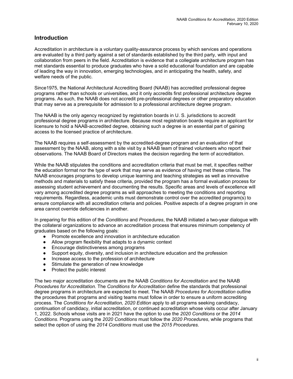# **Introduction**

Accreditation in architecture is a voluntary quality-assurance process by which services and operations are evaluated by a third party against a set of standards established by the third party, with input and collaboration from peers in the field. Accreditation is evidence that a collegiate architecture program has met standards essential to produce graduates who have a solid educational foundation and are capable of leading the way in innovation, emerging technologies, and in anticipating the health, safety, and welfare needs of the public.

Since1975, the National Architectural Accrediting Board (NAAB) has accredited professional degree programs rather than schools or universities, and it only accredits first professional architecture degree programs. As such, the NAAB does not accredit pre-professional degrees or other preparatory education that may serve as a prerequisite for admission to a professional architecture degree program.

The NAAB is the only agency recognized by registration boards in U. S. jurisdictions to accredit professional degree programs in architecture. Because most registration boards require an applicant for licensure to hold a NAAB-accredited degree, obtaining such a degree is an essential part of gaining access to the licensed practice of architecture.

The NAAB requires a self-assessment by the accredited-degree program and an evaluation of that assessment by the NAAB, along with a site visit by a NAAB team of trained volunteers who report their observations. The NAAB Board of Directors makes the decision regarding the term of accreditation.

While the NAAB stipulates the conditions and accreditation criteria that must be met, it specifies neither the education format nor the type of work that may serve as evidence of having met these criteria. The NAAB encourages programs to develop unique learning and teaching strategies as well as innovative methods and materials to satisfy these criteria, provided the program has a formal evaluation process for assessing student achievement and documenting the results. Specific areas and levels of excellence will vary among accredited degree programs as will approaches to meeting the conditions and reporting requirements. Regardless, academic units must demonstrate control over the accredited program(s) to ensure compliance with all accreditation criteria and policies. Positive aspects of a degree program in one area cannot override deficiencies in another.

In preparing for this edition of the *Conditions* and *Procedures*, the NAAB initiated a two-year dialogue with the collateral organizations to advance an accreditation process that ensures minimum competency of graduates based on the following goals:

- Promote excellence and innovation in architecture education
- Allow program flexibility that adapts to a dynamic context
- Encourage distinctiveness among programs
- Support equity, diversity, and inclusion in architecture education and the profession
- Increase access to the profession of architecture
- Stimulate the generation of new knowledge
- Protect the public interest

The two major accreditation documents are the NAAB *Conditions for Accreditation* and the NAAB *Procedures for Accreditation.* The *Conditions for Accreditation* define the standards that professional degree programs in architecture are expected to meet. The NAAB *Procedures for Accreditation* outline the procedures that programs and visiting teams must follow in order to ensure a uniform accrediting process. The *Conditions for Accreditation, 2020 Edition* apply to all programs seeking candidacy, continuation of candidacy, initial accreditation, or continued accreditation whose visits occur after January 1, 2022. Schools whose visits are in 2021 have the option to use the *2020 Conditions* or the *2014 Conditions*. Programs using the *2020 Conditions* must follow the *2020 Procedures*, while programs that select the option of using the *2014 Conditions* must use the *2015 Procedures*.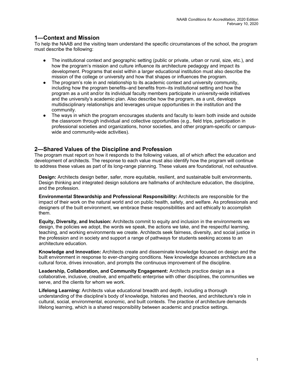# **1—Context and Mission**

To help the NAAB and the visiting team understand the specific circumstances of the school, the program must describe the following:

- The institutional context and geographic setting (public or private, urban or rural, size, etc.), and how the program's mission and culture influence its architecture pedagogy and impact its development. Programs that exist within a larger educational institution must also describe the mission of the college or university and how that shapes or influences the program.
- The program's role in and relationship to its academic context and university community. including how the program benefits–and benefits from–its institutional setting and how the program as a unit and/or its individual faculty members participate in university-wide initiatives and the university's academic plan. Also describe how the program, as a unit, develops multidisciplinary relationships and leverages unique opportunities in the institution and the community.
- The ways in which the program encourages students and faculty to learn both inside and outside the classroom through individual and collective opportunities (e.g., field trips, participation in professional societies and organizations, honor societies, and other program-specific or campuswide and community-wide activities).

### **2—Shared Values of the Discipline and Profession**

The program must report on how it responds to the following values, all of which affect the education and development of architects. The response to each value must also identify how the program will continue to address these values as part of its long-range planning. These values are foundational, not exhaustive.

**Design:** Architects design better, safer, more equitable, resilient, and sustainable built environments**.**  Design thinking and integrated design solutions are hallmarks of architecture education, the discipline, and the profession.

**Environmental Stewardship and Professional Responsibility:** Architects are responsible for the impact of their work on the natural world and on public health, safety, and welfare. As professionals and designers of the built environment, we embrace these responsibilities and act ethically to accomplish them.

**Equity, Diversity, and Inclusion:** Architects commit to equity and inclusion in the environments we design, the policies we adopt, the words we speak, the actions we take, and the respectful learning, teaching, and working environments we create. Architects seek fairness, diversity, and social justice in the profession and in society and support a range of pathways for students seeking access to an architecture education.

**Knowledge and Innovation:** Architects create and disseminate knowledge focused on design and the built environment in response to ever-changing conditions. New knowledge advances architecture as a cultural force, drives innovation, and prompts the continuous improvement of the discipline.

**Leadership, Collaboration, and Community Engagement:** Architects practice design as a collaborative, inclusive, creative, and empathetic enterprise with other disciplines, the communities we serve, and the clients for whom we work.

**Lifelong Learning:** Architects value educational breadth and depth, including a thorough understanding of the discipline's body of knowledge, histories and theories, and architecture's role in cultural, social, environmental, economic, and built contexts. The practice of architecture demands lifelong learning, which is a shared responsibility between academic and practice settings.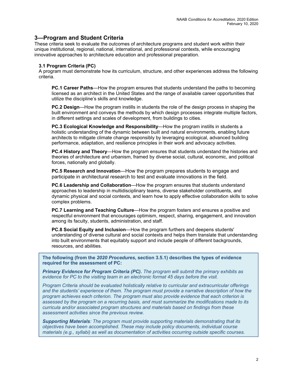# **3—Program and Student Criteria**

These criteria seek to evaluate the outcomes of architecture programs and student work within their unique institutional, regional, national, international, and professional contexts, while encouraging innovative approaches to architecture education and professional preparation.

#### **3.1 Program Criteria (PC)**

A program must demonstrate how its curriculum, structure, and other experiences address the following criteria.

**PC.1 Career Paths**—How the program ensures that students understand the paths to becoming licensed as an architect in the United States and the range of available career opportunities that utilize the discipline's skills and knowledge.

**PC.2 Design**—How the program instills in students the role of the design process in shaping the built environment and conveys the methods by which design processes integrate multiple factors, in different settings and scales of development, from buildings to cities.

**PC.3 Ecological Knowledge and Responsibility**—How the program instills in students a holistic understanding of the dynamic between built and natural environments, enabling future architects to mitigate climate change responsibly by leveraging ecological, advanced building performance, adaptation, and resilience principles in their work and advocacy activities.

**PC.4 History and Theory**—How the program ensures that students understand the histories and theories of architecture and urbanism, framed by diverse social, cultural, economic, and political forces, nationally and globally.

**PC.5 Research and Innovation**—How the program prepares students to engage and participate in architectural research to test and evaluate innovations in the field.

**PC.6 Leadership and Collaboration**—How the program ensures that students understand approaches to leadership in multidisciplinary teams, diverse stakeholder constituents, and dynamic physical and social contexts, and learn how to apply effective collaboration skills to solve complex problems.

**PC.7 Learning and Teaching Culture**—How the program fosters and ensures a positive and respectful environment that encourages optimism, respect, sharing, engagement, and innovation among its faculty, students, administration, and staff.

**PC.8 Social Equity and Inclusion**—How the program furthers and deepens students' understanding of diverse cultural and social contexts and helps them translate that understanding into built environments that equitably support and include people of different backgrounds, resources, and abilities.

**The following (from the** *2020 Procedures***, section 3.5.1) describes the types of evidence required for the assessment of PC:** 

*Primary Evidence for Program Criteria (PC). The program will submit the primary exhibits as evidence for PC to the visiting team in an electronic format 45 days before the visit.* 

*Program Criteria should be evaluated holistically relative to curricular and extracurricular offerings and the students' experience of them. The program must provide a narrative description of how the program achieves each criterion. The program must also provide evidence that each criterion is assessed by the program on a recurring basis, and must summarize the modifications made to its curricula and/or associated program structures and materials based on findings from these assessment activities since the previous review.* 

*Supporting Materials: The program must provide supporting materials demonstrating that its objectives have been accomplished. These may include policy documents, individual course materials (e.g., syllabi) as well as documentation of activities occurring outside specific courses.*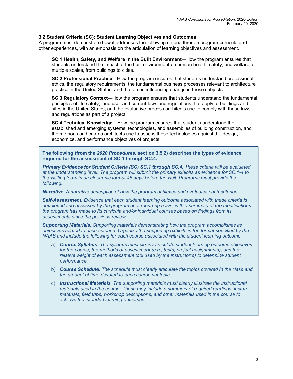#### **3.2 Student Criteria (SC): Student Learning Objectives and Outcomes**

A program must demonstrate how it addresses the following criteria through program curricula and other experiences, with an emphasis on the articulation of learning objectives and assessment.

**SC.1 Health, Safety, and Welfare in the Built Environment**—How the program ensures that students understand the impact of the built environment on human health, safety, and welfare at multiple scales, from buildings to cities.

**SC.2 Professional Practice**—How the program ensures that students understand professional ethics, the regulatory requirements, the fundamental business processes relevant to architecture practice in the United States, and the forces influencing change in these subjects.

**SC.3 Regulatory Context**—How the program ensures that students understand the fundamental principles of life safety, land use, and current laws and regulations that apply to buildings and sites in the United States, and the evaluative process architects use to comply with those laws and regulations as part of a project.

**SC.4 Technical Knowledge**—How the program ensures that students understand the established and emerging systems, technologies, and assemblies of building construction, and the methods and criteria architects use to assess those technologies against the design, economics, and performance objectives of projects.

**The following (from the** *2020 Procedures***, section 3.5.2) describes the types of evidence required for the assessment of SC.1 through SC.4:**

*Primary Evidence for Student Criteria (SC) SC.1 through SC.4. These criteria will be evaluated at the understanding level. The program will submit the primary exhibits as evidence for SC.1-4 to the visiting team in an electronic format 45 days before the visit. Programs must provide the following:* 

*Narrative: A narrative description of how the program achieves and evaluates each criterion.* 

*Self-Assessment: Evidence that each student learning outcome associated with these criteria is developed and assessed by the program on a recurring basis, with a summary of the modifications the program has made to its curricula and/or individual courses based on findings from its assessments since the previous review.* 

*Supporting Materials: Supporting materials demonstrating how the program accomplishes its objectives related to each criterion. Organize the supporting exhibits in the format specified by the NAAB and include the following for each course associated with the student learning outcome:* 

- a) *Course Syllabus. The syllabus must clearly articulate student learning outcome objectives for the course, the methods of assessment (e.g., tests, project assignments), and the relative weight of each assessment tool used by the instructor(s) to determine student performance.*
- b) *Course Schedule. The schedule must clearly articulate the topics covered in the class and the amount of time devoted to each course subtopic.*
- c) *Instructional Materials. The supporting materials must clearly illustrate the instructional materials used in the course. These may include a summary of required readings, lecture materials, field trips, workshop descriptions, and other materials used in the course to achieve the intended learning outcomes.*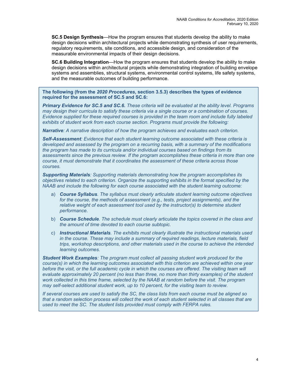**SC.5 Design Synthesis**—How the program ensures that students develop the ability to make design decisions within architectural projects while demonstrating synthesis of user requirements, regulatory requirements, site conditions, and accessible design, and consideration of the measurable environmental impacts of their design decisions.

**SC.6 Building Integration**—How the program ensures that students develop the ability to make design decisions within architectural projects while demonstrating integration of building envelope systems and assemblies, structural systems, environmental control systems, life safety systems, and the measurable outcomes of building performance.

**The following (from the** *2020 Procedures***, section 3.5.3) describes the types of evidence required for the assessment of SC.5 and SC.6:**

*Primary Evidence for SC.5 and SC.6. These criteria will be evaluated at the ability level. Programs may design their curricula to satisfy these criteria via a single course or a combination of courses. Evidence supplied for these required courses is provided in the team room and include fully labeled exhibits of student work from each course section. Programs must provide the following:* 

*Narrative: A narrative description of how the program achieves and evaluates each criterion.* 

*Self-Assessment: Evidence that each student learning outcome associated with these criteria is developed and assessed by the program on a recurring basis, with a summary of the modifications the program has made to its curricula and/or individual courses based on findings from its assessments since the previous review. If the program accomplishes these criteria in more than one course, it must demonstrate that it coordinates the assessment of these criteria across those courses.* 

*Supporting Materials: Supporting materials demonstrating how the program accomplishes its objectives related to each criterion. Organize the supporting exhibits in the format specified by the NAAB and include the following for each course associated with the student learning outcome:* 

- a) *Course Syllabus. The syllabus must clearly articulate student learning outcome objectives for the course, the methods of assessment (e.g., tests, project assignments), and the relative weight of each assessment tool used by the instructor(s) to determine student performance.*
- b) *Course Schedule. The schedule must clearly articulate the topics covered in the class and the amount of time devoted to each course subtopic.*
- c) *Instructional Materials. The exhibits must clearly illustrate the instructional materials used in the course. These may include a summary of required readings, lecture materials, field trips, workshop descriptions, and other materials used in the course to achieve the intended learning outcomes.*

*Student Work Examples: The program must collect all passing student work produced for the course(s) in which the learning outcomes associated with this criterion are achieved within one year*  before the visit, or the full academic cycle in which the courses are offered. The visiting team will *evaluate approximately 20 percent (no less than three, no more than thirty examples) of the student work collected in this time frame, selected by the NAAB at random before the visit. The program may self-select additional student work, up to 10 percent, for the visiting team to review.* 

*If several courses are used to satisfy the SC, the class lists from each course must be aligned so that a random selection process will collect the work of each student selected in all classes that are used to meet the SC. The student lists provided must comply with FERPA rules.*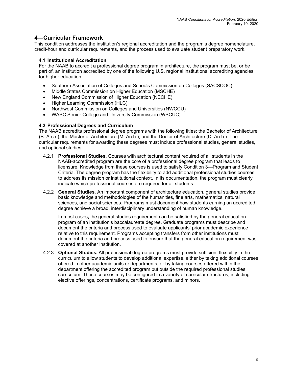# **4—Curricular Framework**

This condition addresses the institution's regional accreditation and the program's degree nomenclature, credit-hour and curricular requirements, and the process used to evaluate student preparatory work.

#### **4.1 Institutional Accreditation**

For the NAAB to accredit a professional degree program in architecture, the program must be, or be part of, an institution accredited by one of the following U.S. regional institutional accrediting agencies for higher education:

- Southern Association of Colleges and Schools Commission on Colleges (SACSCOC)
- Middle States Commission on Higher Education (MSCHE)
- New England Commission of Higher Education (NECHE)
- Higher Learning Commission (HLC)
- Northwest Commission on Colleges and Universities (NWCCU)
- WASC Senior College and University Commission (WSCUC)

#### **4.2 Professional Degrees and Curriculum**

The NAAB accredits professional degree programs with the following titles: the Bachelor of Architecture (B. Arch.), the Master of Architecture (M. Arch.), and the Doctor of Architecture (D. Arch.). The curricular requirements for awarding these degrees must include professional studies, general studies, and optional studies.

- 4.2.1 **Professional Studies**. Courses with architectural content required of all students in the NAAB-accredited program are the core of a professional degree program that leads to licensure. Knowledge from these courses is used to satisfy Condition 3—Program and Student Criteria. The degree program has the flexibility to add additional professional studies courses to address its mission or institutional context. In its documentation, the program must clearly indicate which professional courses are required for all students.
- 4.2.2 **General Studies**. An important component of architecture education, general studies provide basic knowledge and methodologies of the humanities, fine arts, mathematics, natural sciences, and social sciences. Programs must document how students earning an accredited degree achieve a broad, interdisciplinary understanding of human knowledge.

In most cases**,** the general studies requirement can be satisfied by the general education program of an institution's baccalaureate degree. Graduate programs must describe and document the criteria and process used to evaluate applicants' prior academic experience relative to this requirement. Programs accepting transfers from other institutions must document the criteria and process used to ensure that the general education requirement was covered at another institution.

4.2.3 **Optional Studies.** All professional degree programs must provide sufficient flexibility in the curriculum to allow students to develop additional expertise, either by taking additional courses offered in other academic units or departments, or by taking courses offered within the department offering the accredited program but outside the required professional studies curriculum. These courses may be configured in a variety of curricular structures, including elective offerings, concentrations, certificate programs, and minors.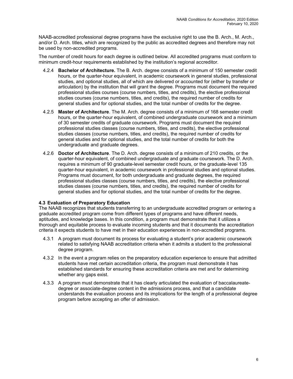NAAB-accredited professional degree programs have the exclusive right to use the B. Arch., M. Arch., and/or D. Arch. titles, which are recognized by the public as accredited degrees and therefore may not be used by non-accredited programs.

The number of credit hours for each degree is outlined below. All accredited programs must conform to minimum credit-hour requirements established by the institution's regional accreditor.

- 4.2.4 **Bachelor of Architecture.** The B. Arch. degree consists of a minimum of 150 semester credit hours, or the quarter-hour equivalent, in academic coursework in general studies, professional studies, and optional studies, all of which are delivered or accounted for (either by transfer or articulation) by the institution that will grant the degree. Programs must document the required professional studies courses (course numbers, titles, and credits), the elective professional studies courses (course numbers, titles, and credits), the required number of credits for general studies and for optional studies, and the total number of credits for the degree.
- 4.2.5 **Master of Architecture**. The M. Arch. degree consists of a minimum of 168 semester credit hours, or the quarter-hour equivalent, of combined undergraduate coursework and a minimum of 30 semester credits of graduate coursework. Programs must document the required professional studies classes (course numbers, titles, and credits), the elective professional studies classes (course numbers, titles, and credits), the required number of credits for general studies and for optional studies, and the total number of credits for both the undergraduate and graduate degrees.
- 4.2.6 **Doctor of Architecture**. The D. Arch. degree consists of a minimum of 210 credits, or the quarter-hour equivalent, of combined undergraduate and graduate coursework. The D. Arch. requires a minimum of 90 graduate-level semester credit hours, or the graduate-level 135 quarter-hour equivalent, in academic coursework in professional studies and optional studies. Programs must document, for both undergraduate and graduate degrees, the required professional studies classes (course numbers, titles, and credits), the elective professional studies classes (course numbers, titles, and credits), the required number of credits for general studies and for optional studies, and the total number of credits for the degree.

#### **4.3 Evaluation of Preparatory Education**

The NAAB recognizes that students transferring to an undergraduate accredited program or entering a graduate accredited program come from different types of programs and have different needs, aptitudes, and knowledge bases. In this condition, a program must demonstrate that it utilizes a thorough and equitable process to evaluate incoming students and that it documents the accreditation criteria it expects students to have met in their education experiences in non-accredited programs.

- 4.3.1 A program must document its process for evaluating a student's prior academic coursework related to satisfying NAAB accreditation criteria when it admits a student to the professional degree program.
- 4.3.2 In the event a program relies on the preparatory education experience to ensure that admitted students have met certain accreditation criteria, the program must demonstrate it has established standards for ensuring these accreditation criteria are met and for determining whether any gaps exist.
- 4.3.3 A program must demonstrate that it has clearly articulated the evaluation of baccalaureatedegree or associate-degree content in the admissions process, and that a candidate understands the evaluation process and its implications for the length of a professional degree program before accepting an offer of admission.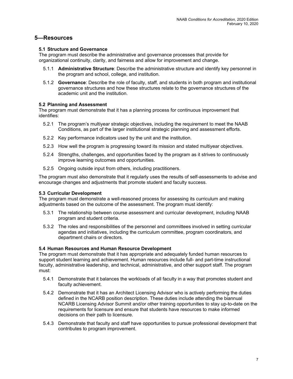# **5—Resources**

#### **5.1 Structure and Governance**

The program must describe the administrative and governance processes that provide for organizational continuity, clarity, and fairness and allow for improvement and change.

- 5.1.1 **Administrative Structure**: Describe the administrative structure and identify key personnel in the program and school, college, and institution.
- 5.1.2 **Governance**: Describe the role of faculty, staff, and students in both program and institutional governance structures and how these structures relate to the governance structures of the academic unit and the institution.

#### **5.2 Planning and Assessment**

The program must demonstrate that it has a planning process for continuous improvement that identifies:

- 5.2.1 The program's multiyear strategic objectives, including the requirement to meet the NAAB Conditions, as part of the larger institutional strategic planning and assessment efforts.
- 5.2.2 Key performance indicators used by the unit and the institution.
- 5.2.3 How well the program is progressing toward its mission and stated multiyear objectives.
- 5.2.4 Strengths, challenges, and opportunities faced by the program as it strives to continuously improve learning outcomes and opportunities.
- 5.2.5 Ongoing outside input from others, including practitioners.

The program must also demonstrate that it regularly uses the results of self-assessments to advise and encourage changes and adjustments that promote student and faculty success.

#### **5.3 Curricular Development**

The program must demonstrate a well-reasoned process for assessing its curriculum and making adjustments based on the outcome of the assessment. The program must identify:

- 5.3.1 The relationship between course assessment and curricular development, including NAAB program and student criteria.
- 5.3.2 The roles and responsibilities of the personnel and committees involved in setting curricular agendas and initiatives, including the curriculum committee, program coordinators, and department chairs or directors.

#### **5.4 Human Resources and Human Resource Development**

The program must demonstrate that it has appropriate and adequately funded human resources to support student learning and achievement. Human resources include full- and part-time instructional faculty, administrative leadership, and technical, administrative, and other support staff. The program must:

- 5.4.1 Demonstrate that it balances the workloads of all faculty in a way that promotes student and faculty achievement.
- 5.4.2 Demonstrate that it has an Architect Licensing Advisor who is actively performing the duties defined in the NCARB position description. These duties include attending the biannual NCARB Licensing Advisor Summit and/or other training opportunities to stay up-to-date on the requirements for licensure and ensure that students have resources to make informed decisions on their path to licensure.
- 5.4.3 Demonstrate that faculty and staff have opportunities to pursue professional development that contributes to program improvement.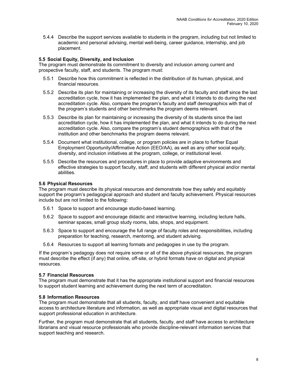5.4.4 Describe the support services available to students in the program, including but not limited to academic and personal advising, mental well-being, career guidance, internship, and job placement.

#### **5.5 Social Equity, Diversity, and Inclusion**

The program must demonstrate its commitment to diversity and inclusion among current and prospective faculty, staff, and students. The program must:

- 5.5.1 Describe how this commitment is reflected in the distribution of its human, physical, and financial resources.
- 5.5.2 Describe its plan for maintaining or increasing the diversity of its faculty and staff since the last accreditation cycle, how it has implemented the plan, and what it intends to do during the next accreditation cycle. Also, compare the program's faculty and staff demographics with that of the program's students and other benchmarks the program deems relevant.
- 5.5.3 Describe its plan for maintaining or increasing the diversity of its students since the last accreditation cycle, how it has implemented the plan, and what it intends to do during the next accreditation cycle. Also, compare the program's student demographics with that of the institution and other benchmarks the program deems relevant.
- 5.5.4 Document what institutional, college, or program policies are in place to further Equal Employment Opportunity/Affirmative Action (EEO/AA), as well as any other social equity, diversity, and inclusion initiatives at the program, college, or institutional level.
- 5.5.5 Describe the resources and procedures in place to provide adaptive environments and effective strategies to support faculty, staff, and students with different physical and/or mental abilities.

#### **5.6 Physical Resources**

The program must describe its physical resources and demonstrate how they safely and equitably support the program's pedagogical approach and student and faculty achievement. Physical resources include but are not limited to the following:

- 5.6.1 Space to support and encourage studio-based learning.
- 5.6.2 Space to support and encourage didactic and interactive learning, including lecture halls, seminar spaces, small group study rooms, labs, shops, and equipment.
- 5.6.3 Space to support and encourage the full range of faculty roles and responsibilities, including preparation for teaching, research, mentoring, and student advising.
- 5.6.4 Resources to support all learning formats and pedagogies in use by the program.

If the program's pedagogy does not require some or all of the above physical resources, the program must describe the effect (if any) that online, off-site, or hybrid formats have on digital and physical resources.

#### **5.7 Financial Resources**

The program must demonstrate that it has the appropriate institutional support and financial resources to support student learning and achievement during the next term of accreditation.

#### **5.8 Information Resources**

The program must demonstrate that all students, faculty, and staff have convenient and equitable access to architecture literature and information, as well as appropriate visual and digital resources that support professional education in architecture.

Further, the program must demonstrate that all students, faculty, and staff have access to architecture librarians and visual resource professionals who provide discipline-relevant information services that support teaching and research.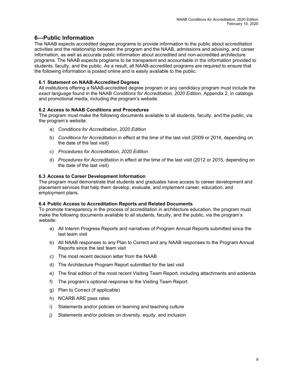# **6—Public Information**

The NAAB expects accredited degree programs to provide information to the public about accreditation activities and the relationship between the program and the NAAB, admissions and advising, and career information, as well as accurate public information about accredited and non-accredited architecture programs. The NAAB expects programs to be transparent and accountable in the information provided to students, faculty, and the public. As a result, all NAAB-accredited programs are required to ensure that the following information is posted online and is easily available to the public.

### **6.1 Statement on NAAB-Accredited Degrees**

All institutions offering a NAAB-accredited degree program or any candidacy program must include the *exact language* found in the NAAB *Conditions for Accreditation, 2020 Edition*, Appendix 2, in catalogs and promotional media, including the program's website.

#### **6.2 Access to NAAB Conditions and Procedures**

The program must make the following documents available to all students, faculty, and the public, via the program's website:

- a) *Conditions for Accreditation, 2020 Edition*
- b) *Conditions for Accreditation* in effect at the time of the last visit (2009 or 2014, depending on the date of the last visit)
- c) *Procedures for Accreditation, 2020 Edition*
- d) *Procedures for Accreditation* in effect at the time of the last visit (2012 or 2015, depending on the date of the last visit)

#### **6.3 Access to Career Development Information**

The program must demonstrate that students and graduates have access to career development and placement services that help them develop, evaluate, and implement career, education, and employment plans.

#### **6.4 Public Access to Accreditation Reports and Related Documents**

To promote transparency in the process of accreditation in architecture education, the program must make the following documents available to all students, faculty, and the public, via the program's website:

- a) All Interim Progress Reports and narratives of Program Annual Reports submitted since the last team visit
- b) All NAAB responses to any Plan to Correct and any NAAB responses to the Program Annual Reports since the last team visit
- c) The most recent decision letter from the NAAB
- d) The Architecture Program Report submitted for the last visit
- e) The final edition of the most recent Visiting Team Report, including attachments and addenda
- f) The program's optional response to the Visiting Team Report
- g) Plan to Correct (if applicable)
- h) NCARB ARE pass rates
- i) Statements and/or policies on learning and teaching culture
- j) Statements and/or policies on diversity, equity, and inclusion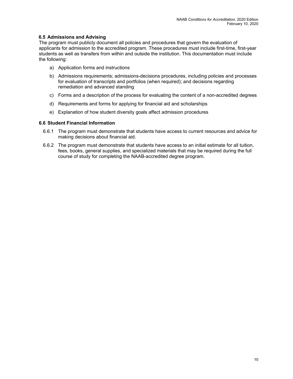#### **6.5 Admissions and Advising**

The program must publicly document all policies and procedures that govern the evaluation of applicants for admission to the accredited program. These procedures must include first-time, first-year students as well as transfers from within and outside the institution. This documentation must include the following:

- a) Application forms and instructions
- b) Admissions requirements; admissions-decisions procedures, including policies and processes for evaluation of transcripts and portfolios (when required); and decisions regarding remediation and advanced standing
- c) Forms and a description of the process for evaluating the content of a non-accredited degrees
- d) Requirements and forms for applying for financial aid and scholarships
- e) Explanation of how student diversity goals affect admission procedures

#### **6.6 Student Financial Information**

- 6.6.1 The program must demonstrate that students have access to current resources and advice for making decisions about financial aid.
- 6.6.2 The program must demonstrate that students have access to an initial estimate for all tuition, fees, books, general supplies, and specialized materials that may be required during the full course of study for completing the NAAB-accredited degree program.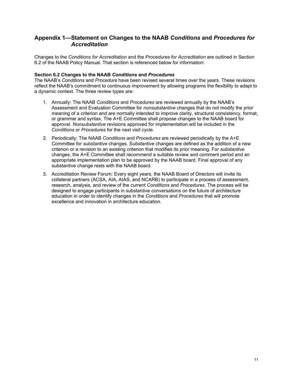# **Appendix 1—Statement on Changes to the NAAB** *Conditions* **and** *Procedures for Accreditation*

Changes to the *Conditions for Accreditation* and the *Procedures for Accreditation* are outlined in Section 6.2 of the NAAB Policy Manual. That section is referenced below for information:

#### **Section 6.2 Changes to the NAAB** *Conditions* **and** *Procedures*

The NAAB's *Conditions* and *Procedure* have been revised several times over the years. These revisions reflect the NAAB's commitment to continuous improvement by allowing programs the flexibility to adapt to a dynamic context. The three review types are:

- 1. Annually: The NAAB *Conditions* and *Procedures* are reviewed annually by the NAAB's Assessment and Evaluation Committee for *nonsubstantive* changes that do not modify the prior meaning of a criterion and are normally intended to improve clarity, structural consistency, format, or grammar and syntax. The A+E Committee shall propose changes to the NAAB board for approval. *Nonsubstantive* revisions approved for implementation will be included in the *Conditions* or *Procedures* for the next visit cycle.
- 2. Periodically: The NAAB *Conditions* and *Procedures* are reviewed periodically by the A+E Committee for *substantive* changes. S*ubstantive* changes are defined as the addition of a new criterion or a revision to an existing criterion that modifies its prior meaning. For *substantive* changes, the A+E Committee shall recommend a suitable review and comment period and an appropriate implementation plan to be approved by the NAAB board. Final approval of any substantive change rests with the NAAB board.
- 3. Accreditation Review Forum: Every eight years, the NAAB Board of Directors will invite its collateral partners (ACSA, AIA, AIAS, and NCARB) to participate in a process of assessment, research, analysis, and review of the current *Conditions* and *Procedures*. The process will be designed to engage participants in substantive conversations on the future of architecture education in order to identify changes in the *Conditions* and *Procedures* that will promote excellence and innovation in architecture education.